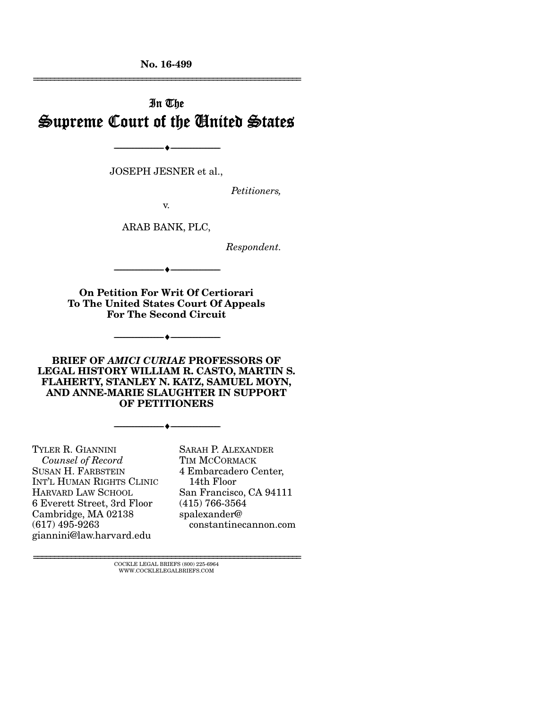No. 16-499 ================================================================

# In The Supreme Court of the United States

JOSEPH JESNER et al.,

--------------------------------- ---------------------------------

*Petitioners,* 

v.

ARAB BANK, PLC,

*Respondent.* 

On Petition For Writ Of Certiorari To The United States Court Of Appeals For The Second Circuit

--------------------------------- ---------------------------------

--------------------------------- ---------------------------------

BRIEF OF *AMICI CURIAE* PROFESSORS OF LEGAL HISTORY WILLIAM R. CASTO, MARTIN S. FLAHERTY, STANLEY N. KATZ, SAMUEL MOYN, AND ANNE-MARIE SLAUGHTER IN SUPPORT OF PETITIONERS

--------------------------------- ---------------------------------

TYLER R. GIANNINI *Counsel of Record* SUSAN H. FARBSTEIN INT'L HUMAN RIGHTS CLINIC HARVARD LAW SCHOOL 6 Everett Street, 3rd Floor Cambridge, MA 02138 (617) 495-9263 giannini@law.harvard.edu

SARAH P. ALEXANDER TIM MCCORMACK 4 Embarcadero Center, 14th Floor San Francisco, CA 94111 (415) 766-3564 spalexander@ constantinecannon.com

 ${\rm COCKLE}$ LEGAL BRIEFS (800) 225-6964 WWW.COCKLELEGALBRIEFS.COM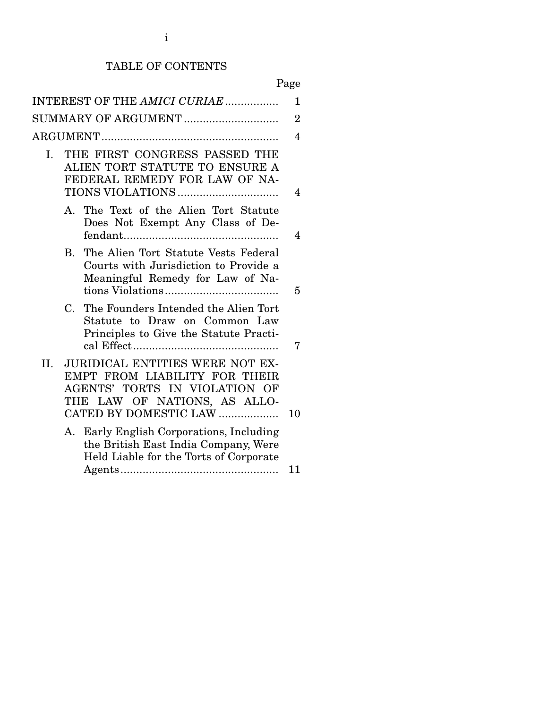# TABLE OF CONTENTS

# Page

|     |                                                                                                                      | INTEREST OF THE AMICI CURIAE                                                                                                                                      | 1              |
|-----|----------------------------------------------------------------------------------------------------------------------|-------------------------------------------------------------------------------------------------------------------------------------------------------------------|----------------|
|     |                                                                                                                      | SUMMARY OF ARGUMENT                                                                                                                                               | $\overline{2}$ |
|     |                                                                                                                      |                                                                                                                                                                   | 4              |
| Ι.  | THE FIRST CONGRESS PASSED THE<br>ALIEN TORT STATUTE TO ENSURE A<br>FEDERAL REMEDY FOR LAW OF NA-<br>TIONS VIOLATIONS |                                                                                                                                                                   | 4              |
|     |                                                                                                                      | A. The Text of the Alien Tort Statute<br>Does Not Exempt Any Class of De-                                                                                         | 4              |
|     | $\rm B$ .                                                                                                            | The Alien Tort Statute Vests Federal<br>Courts with Jurisdiction to Provide a<br>Meaningful Remedy for Law of Na-                                                 | 5              |
|     | $\mathbf C$                                                                                                          | The Founders Intended the Alien Tort<br>Statute to Draw on Common Law<br>Principles to Give the Statute Practi-                                                   | 7              |
| II. |                                                                                                                      | <b>JURIDICAL ENTITIES WERE NOT EX-</b><br>EMPT FROM LIABILITY FOR THEIR<br>AGENTS' TORTS IN VIOLATION OF<br>THE LAW OF NATIONS, AS ALLO-<br>CATED BY DOMESTIC LAW | 10             |
|     |                                                                                                                      | A. Early English Corporations, Including<br>the British East India Company, Were<br>Held Liable for the Torts of Corporate                                        | 11             |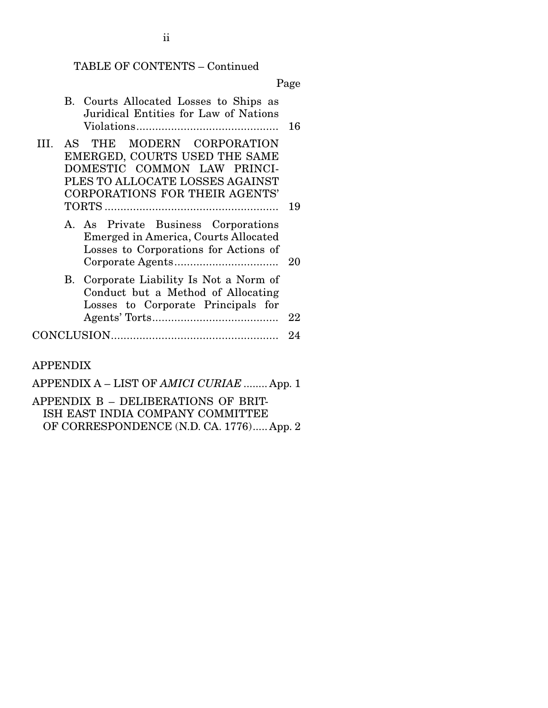## TABLE OF CONTENTS – Continued

Page

|   | B. Courts Allocated Losses to Ships as<br>Juridical Entities for Law of Nations                                                                                | 16 |
|---|----------------------------------------------------------------------------------------------------------------------------------------------------------------|----|
| Ш | AS THE MODERN CORPORATION<br>EMERGED, COURTS USED THE SAME<br>DOMESTIC COMMON LAW PRINCI-<br>PLES TO ALLOCATE LOSSES AGAINST<br>CORPORATIONS FOR THEIR AGENTS' |    |
|   |                                                                                                                                                                | 19 |
|   | A. As Private Business Corporations<br>Emerged in America, Courts Allocated<br>Losses to Corporations for Actions of                                           | 20 |
|   | B. Corporate Liability Is Not a Norm of<br>Conduct but a Method of Allocating<br>Losses to Corporate Principals for                                            | 22 |
|   |                                                                                                                                                                | 24 |

APPENDIX

APPENDIX A – LIST OF *AMICI CURIAE* ........ App. 1 APPENDIX B – DELIBERATIONS OF BRIT-ISH EAST INDIA COMPANY COMMITTEE OF CORRESPONDENCE (N.D. CA. 1776) ..... App. 2

ii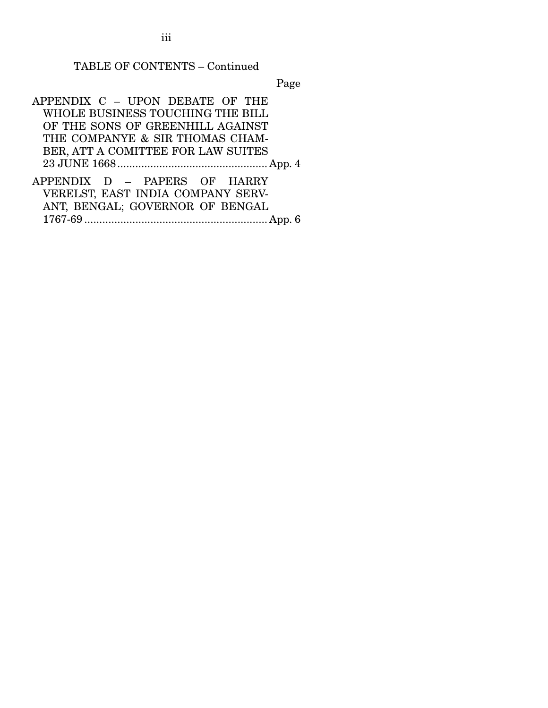iii

#### TABLE OF CONTENTS – Continued

Page

APPENDIX C – UPON DEBATE OF THE WHOLE BUSINESS TOUCHING THE BILL OF THE SONS OF GREENHILL AGAINST THE COMPANYE & SIR THOMAS CHAM-BER, ATT A COMITTEE FOR LAW SUITES 23 JUNE 1668 .................................................. App. 4 APPENDIX D – PAPERS OF HARRY VERELST, EAST INDIA COMPANY SERV-

ANT, BENGAL; GOVERNOR OF BENGAL 1767-69 ............................................................. App. 6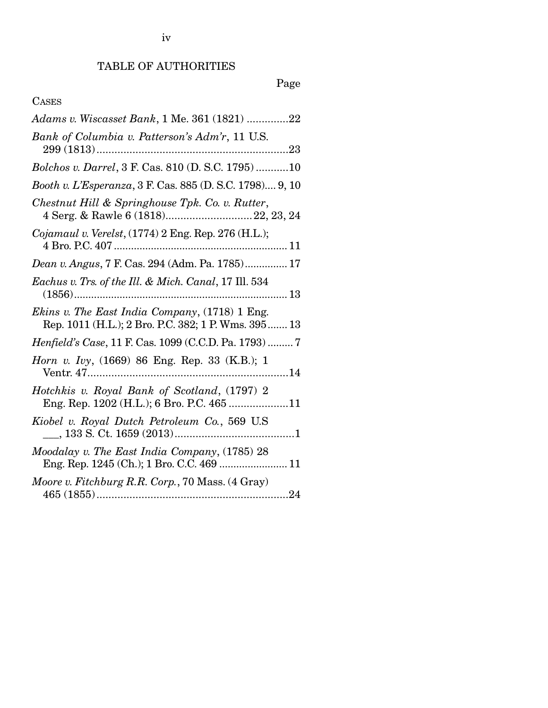# TABLE OF AUTHORITIES

# Page

# CASES

| Adams v. Wiscasset Bank, 1 Me. 361 (1821) 22                                                          |
|-------------------------------------------------------------------------------------------------------|
| Bank of Columbia v. Patterson's Adm'r, 11 U.S.                                                        |
| Bolchos v. Darrel, 3 F. Cas. 810 (D. S.C. 1795)10                                                     |
| Booth v. L'Esperanza, 3 F. Cas. 885 (D. S.C. 1798) 9, 10                                              |
| Chestnut Hill & Springhouse Tpk. Co. v. Rutter,<br>4 Serg. & Rawle 6 (1818) 22, 23, 24                |
| <i>Cojamaul v. Verelst</i> , $(1774)$ 2 Eng. Rep. 276 (H.L.);                                         |
|                                                                                                       |
| Eachus v. Trs. of the Ill. & Mich. Canal, 17 Ill. 534                                                 |
| Ekins v. The East India Company, (1718) 1 Eng.<br>Rep. 1011 (H.L.); 2 Bro. P.C. 382; 1 P. Wms. 395 13 |
| Henfield's Case, 11 F. Cas. 1099 (C.C.D. Pa. 1793)  7                                                 |
| <i>Horn v. Ivy</i> , (1669) 86 Eng. Rep. 33 (K.B.); 1                                                 |
| Hotchkis v. Royal Bank of Scotland, (1797) 2<br>Eng. Rep. 1202 (H.L.); 6 Bro. P.C. 465 11             |
| Kiobel v. Royal Dutch Petroleum Co., 569 U.S.                                                         |
| Moodalay v. The East India Company, (1785) 28<br>Eng. Rep. 1245 (Ch.); 1 Bro. C.C. 469  11            |
| Moore v. Fitchburg R.R. Corp., 70 Mass. (4 Gray)                                                      |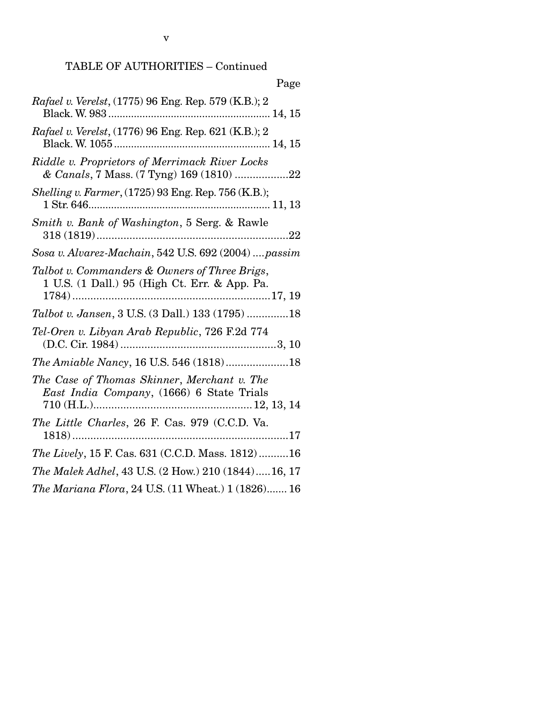# TABLE OF AUTHORITIES – Continued

| Page                                                                                           |
|------------------------------------------------------------------------------------------------|
| Rafael v. Verelst, (1775) 96 Eng. Rep. 579 (K.B.); 2                                           |
| <i>Rafael v. Verelst,</i> (1776) 96 Eng. Rep. 621 (K.B.); 2                                    |
| Riddle v. Proprietors of Merrimack River Locks<br>& Canals, 7 Mass. (7 Tyng) 169 (1810) 22     |
| Shelling v. Farmer, (1725) 93 Eng. Rep. 756 (K.B.);                                            |
| Smith v. Bank of Washington, 5 Serg. & Rawle                                                   |
| Sosa v. Alvarez-Machain, 542 U.S. 692 (2004)  passim                                           |
| Talbot v. Commanders & Owners of Three Brigs,<br>1 U.S. (1 Dall.) 95 (High Ct. Err. & App. Pa. |
| Talbot v. Jansen, 3 U.S. (3 Dall.) 133 (1795) 18                                               |
| Tel-Oren v. Libyan Arab Republic, 726 F.2d 774                                                 |
|                                                                                                |
| The Case of Thomas Skinner, Merchant v. The                                                    |
| The Little Charles, 26 F. Cas. 979 (C.C.D. Va.                                                 |
| The Lively, 15 F. Cas. 631 (C.C.D. Mass. 1812)16                                               |
| The Malek Adhel, 43 U.S. (2 How.) 210 (1844)16, 17                                             |
| The Mariana Flora, 24 U.S. (11 Wheat.) 1 (1826) 16                                             |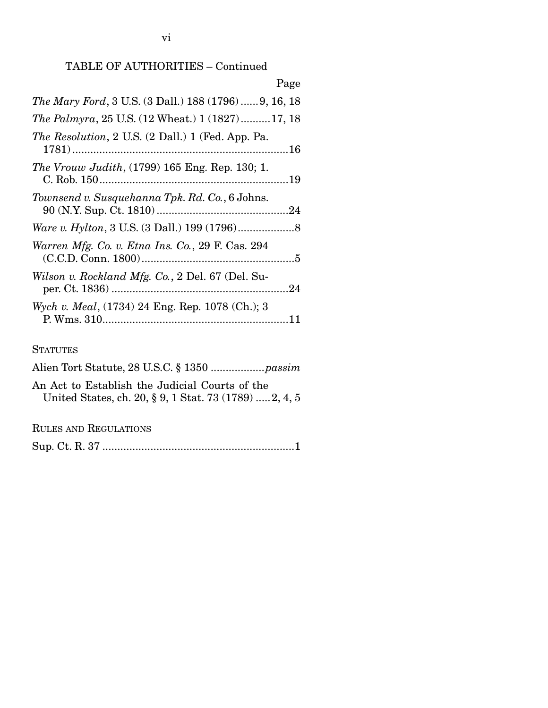# TABLE OF AUTHORITIES – Continued

| Page                                                        |  |
|-------------------------------------------------------------|--|
| <i>The Mary Ford</i> , 3 U.S. (3 Dall.) 188 (1796)9, 16, 18 |  |
| The Palmyra, 25 U.S. (12 Wheat.) 1 (1827)17, 18             |  |
| <i>The Resolution</i> , 2 U.S. (2 Dall.) 1 (Fed. App. Pa.   |  |
| <i>The Vrouw Judith</i> , (1799) 165 Eng. Rep. 130; 1.      |  |
| Townsend v. Susquehanna Tpk. Rd. Co., 6 Johns.              |  |
| <i>Ware v. Hylton, 3 U.S. (3 Dall.) 199 (1796)</i> 8        |  |
| Warren Mfg. Co. v. Etna Ins. Co., 29 F. Cas. 294            |  |
| Wilson v. Rockland Mfg. Co., 2 Del. 67 (Del. Su-            |  |
| Wych v. Meal, (1734) 24 Eng. Rep. 1078 (Ch.); 3             |  |

#### **STATUTES**

| An Act to Establish the Judicial Courts of the<br>United States, ch. 20, § 9, 1 Stat. 73 (1789)  2, 4, 5 |
|----------------------------------------------------------------------------------------------------------|

RULES AND REGULATIONS

Sup. Ct. R. 37 ................................................................ 1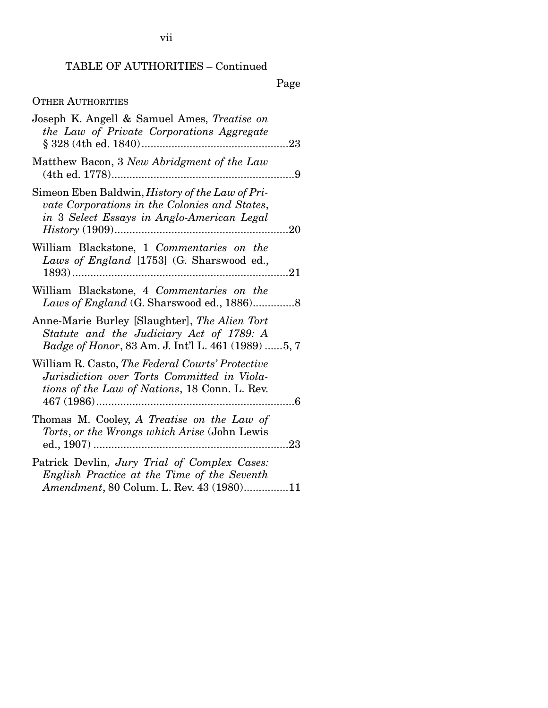## TABLE OF AUTHORITIES – Continued

Page

# OTHER AUTHORITIES

| Joseph K. Angell & Samuel Ames, Treatise on<br>the Law of Private Corporations Aggregate                                                                |     |
|---------------------------------------------------------------------------------------------------------------------------------------------------------|-----|
| Matthew Bacon, 3 New Abridgment of the Law                                                                                                              | 9   |
| Simeon Eben Baldwin, <i>History of the Law of Pri-</i><br>vate Corporations in the Colonies and States,<br>in 3 Select Essays in Anglo-American Legal   | .20 |
| William Blackstone, 1 Commentaries on the<br>Laws of England [1753] (G. Sharswood ed.,                                                                  |     |
| William Blackstone, 4 Commentaries on the<br>Laws of England (G. Sharswood ed., 1886)8                                                                  |     |
| Anne-Marie Burley [Slaughter], The Alien Tort<br>Statute and the Judiciary Act of 1789: A<br><i>Badge of Honor</i> , 83 Am. J. Int'l L. 461 (1989) 5, 7 |     |
| William R. Casto, The Federal Courts' Protective<br>Jurisdiction over Torts Committed in Viola-<br>tions of the Law of Nations, 18 Conn. L. Rev.        | 6   |
| Thomas M. Cooley, A Treatise on the Law of<br>Torts, or the Wrongs which Arise (John Lewis                                                              |     |
| Patrick Devlin, Jury Trial of Complex Cases:<br>English Practice at the Time of the Seventh<br>Amendment, 80 Colum. L. Rev. 43 (1980)11                 |     |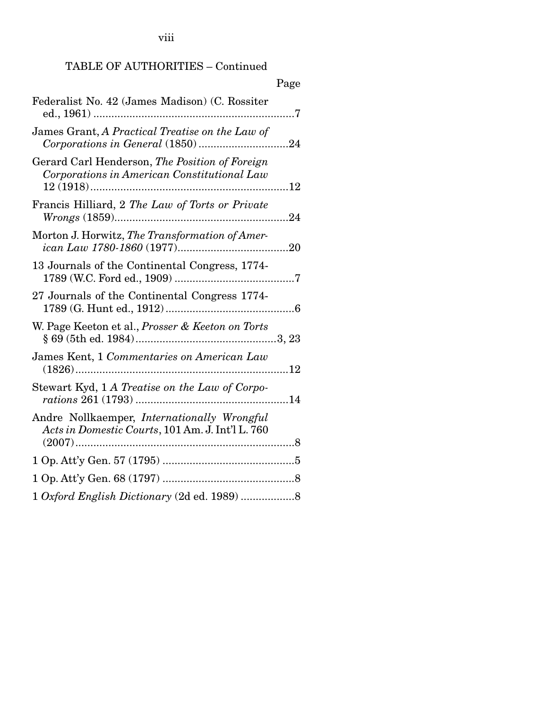viii

# TABLE OF AUTHORITIES – Continued

|                                                                                                 | Page |
|-------------------------------------------------------------------------------------------------|------|
| Federalist No. 42 (James Madison) (C. Rossiter                                                  |      |
| James Grant, A Practical Treatise on the Law of                                                 |      |
| Gerard Carl Henderson, The Position of Foreign<br>Corporations in American Constitutional Law   |      |
| Francis Hilliard, 2 The Law of Torts or Private                                                 |      |
| Morton J. Horwitz, The Transformation of Amer-                                                  |      |
| 13 Journals of the Continental Congress, 1774-                                                  |      |
| 27 Journals of the Continental Congress 1774-                                                   |      |
| W. Page Keeton et al., Prosser & Keeton on Torts                                                |      |
| James Kent, 1 Commentaries on American Law                                                      |      |
| Stewart Kyd, 1 A Treatise on the Law of Corpo-                                                  |      |
| Andre Nollkaemper, Internationally Wrongful<br>Acts in Domestic Courts, 101 Am. J. Int'l L. 760 |      |
|                                                                                                 |      |
|                                                                                                 |      |
|                                                                                                 |      |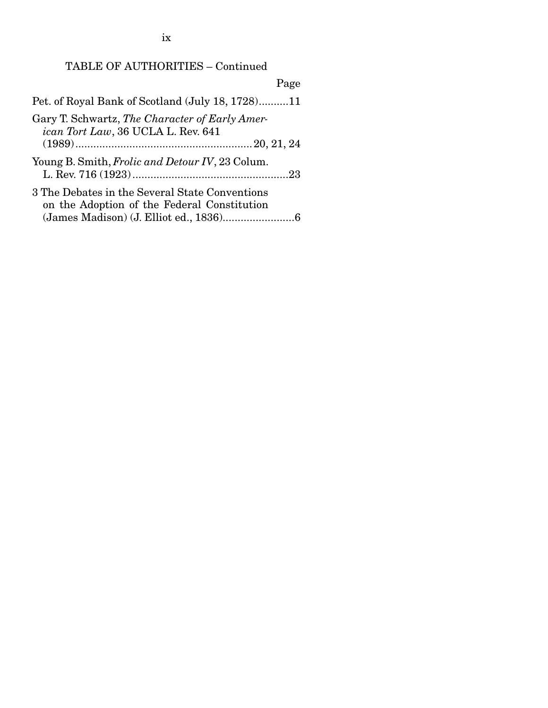ix

# TABLE OF AUTHORITIES – Continued

| Page                                                                                          |  |
|-----------------------------------------------------------------------------------------------|--|
| Pet. of Royal Bank of Scotland (July 18, 1728)11                                              |  |
| Gary T. Schwartz, The Character of Early Amer-<br>ican Tort Law, 36 UCLA L. Rev. 641          |  |
|                                                                                               |  |
| Young B. Smith, <i>Frolic and Detour IV</i> , 23 Colum.                                       |  |
| 3 The Debates in the Several State Conventions<br>on the Adoption of the Federal Constitution |  |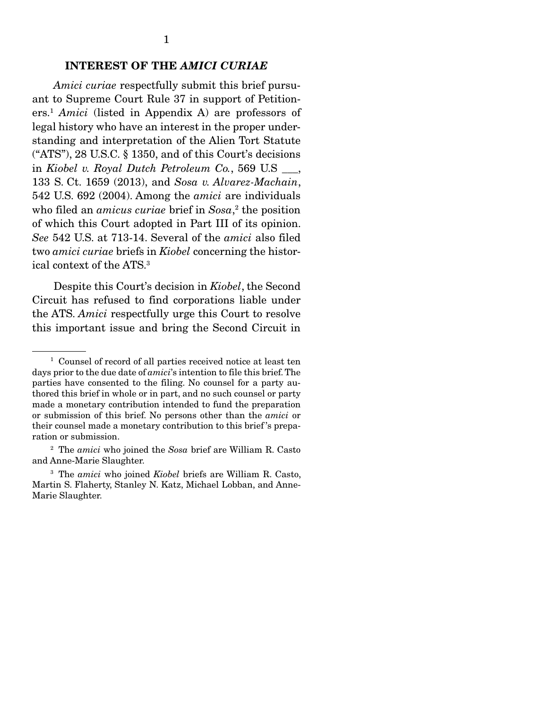#### INTEREST OF THE *AMICI CURIAE*

 *Amici curiae* respectfully submit this brief pursuant to Supreme Court Rule 37 in support of Petitioners.1 *Amici* (listed in Appendix A) are professors of legal history who have an interest in the proper understanding and interpretation of the Alien Tort Statute ("ATS"), 28 U.S.C. § 1350, and of this Court's decisions in *Kiobel v. Royal Dutch Petroleum Co.*, 569 U.S \_\_\_, 133 S. Ct. 1659 (2013), and *Sosa v. Alvarez-Machain*, 542 U.S. 692 (2004). Among the *amici* are individuals who filed an *amicus curiae* brief in *Sosa*, 2 the position of which this Court adopted in Part III of its opinion. *See* 542 U.S. at 713-14. Several of the *amici* also filed two *amici curiae* briefs in *Kiobel* concerning the historical context of the ATS.3

 Despite this Court's decision in *Kiobel*, the Second Circuit has refused to find corporations liable under the ATS. *Amici* respectfully urge this Court to resolve this important issue and bring the Second Circuit in

<sup>&</sup>lt;sup>1</sup> Counsel of record of all parties received notice at least ten days prior to the due date of *amici*'s intention to file this brief. The parties have consented to the filing. No counsel for a party authored this brief in whole or in part, and no such counsel or party made a monetary contribution intended to fund the preparation or submission of this brief. No persons other than the *amici* or their counsel made a monetary contribution to this brief 's preparation or submission.

<sup>2</sup> The *amici* who joined the *Sosa* brief are William R. Casto and Anne-Marie Slaughter.

<sup>3</sup> The *amici* who joined *Kiobel* briefs are William R. Casto, Martin S. Flaherty, Stanley N. Katz, Michael Lobban, and Anne-Marie Slaughter.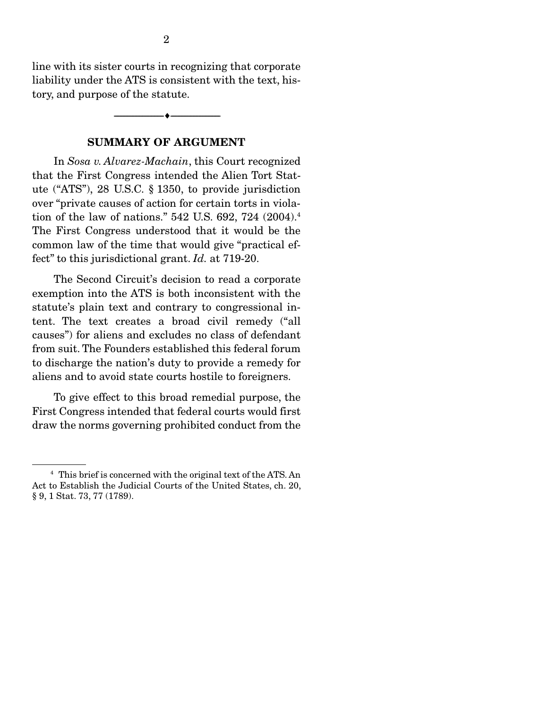line with its sister courts in recognizing that corporate liability under the ATS is consistent with the text, history, and purpose of the statute.

--------------------------------- ---------------------------------

#### SUMMARY OF ARGUMENT

 In *Sosa v. Alvarez-Machain*, this Court recognized that the First Congress intended the Alien Tort Statute ("ATS"), 28 U.S.C. § 1350, to provide jurisdiction over "private causes of action for certain torts in violation of the law of nations." 542 U.S. 692, 724 (2004).4 The First Congress understood that it would be the common law of the time that would give "practical effect" to this jurisdictional grant. *Id.* at 719-20.

 The Second Circuit's decision to read a corporate exemption into the ATS is both inconsistent with the statute's plain text and contrary to congressional intent. The text creates a broad civil remedy ("all causes") for aliens and excludes no class of defendant from suit. The Founders established this federal forum to discharge the nation's duty to provide a remedy for aliens and to avoid state courts hostile to foreigners.

 To give effect to this broad remedial purpose, the First Congress intended that federal courts would first draw the norms governing prohibited conduct from the

<sup>4</sup> This brief is concerned with the original text of the ATS. An Act to Establish the Judicial Courts of the United States, ch. 20, § 9, 1 Stat. 73, 77 (1789).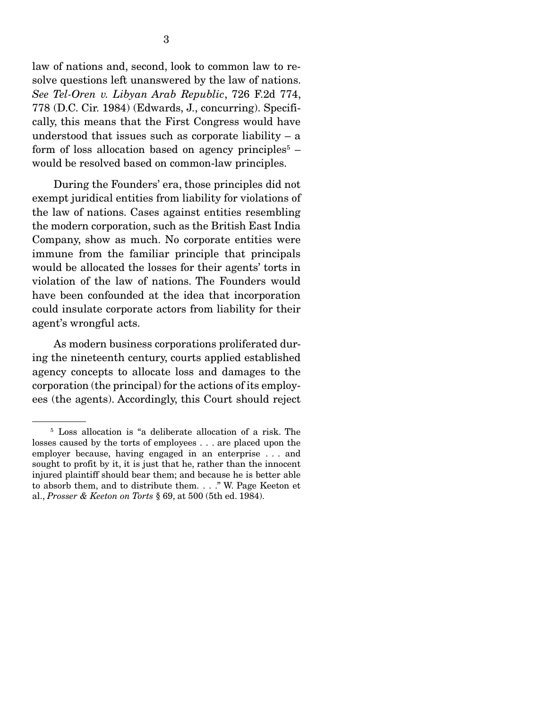law of nations and, second, look to common law to resolve questions left unanswered by the law of nations. *See Tel-Oren v. Libyan Arab Republic*, 726 F.2d 774, 778 (D.C. Cir. 1984) (Edwards, J., concurring). Specifically, this means that the First Congress would have understood that issues such as corporate liability  $-$  a form of loss allocation based on agency principles<sup> $5$ </sup> – would be resolved based on common-law principles.

 During the Founders' era, those principles did not exempt juridical entities from liability for violations of the law of nations. Cases against entities resembling the modern corporation, such as the British East India Company, show as much. No corporate entities were immune from the familiar principle that principals would be allocated the losses for their agents' torts in violation of the law of nations. The Founders would have been confounded at the idea that incorporation could insulate corporate actors from liability for their agent's wrongful acts.

 As modern business corporations proliferated during the nineteenth century, courts applied established agency concepts to allocate loss and damages to the corporation (the principal) for the actions of its employees (the agents). Accordingly, this Court should reject

<sup>&</sup>lt;sup>5</sup> Loss allocation is "a deliberate allocation of a risk. The losses caused by the torts of employees . . . are placed upon the employer because, having engaged in an enterprise . . . and sought to profit by it, it is just that he, rather than the innocent injured plaintiff should bear them; and because he is better able to absorb them, and to distribute them. . . ." W. Page Keeton et al., *Prosser & Keeton on Torts* § 69, at 500 (5th ed. 1984).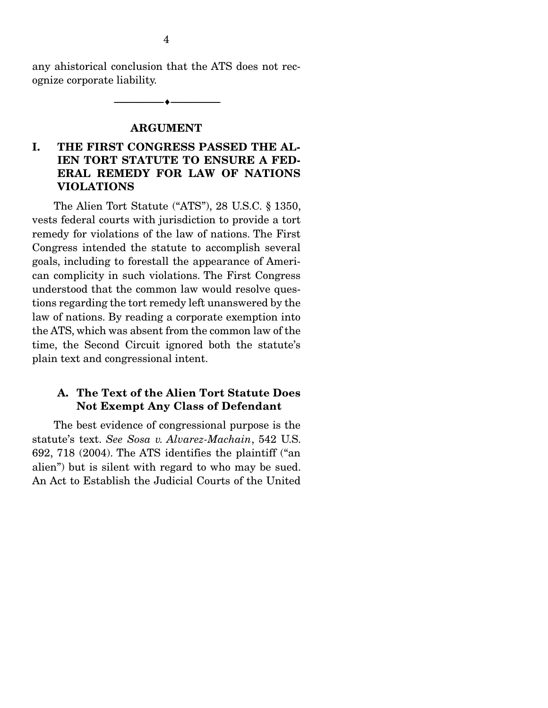any ahistorical conclusion that the ATS does not recognize corporate liability.

--------------------------------- ---------------------------------

#### ARGUMENT

### I. THE FIRST CONGRESS PASSED THE AL-IEN TORT STATUTE TO ENSURE A FED-ERAL REMEDY FOR LAW OF NATIONS VIOLATIONS

 The Alien Tort Statute ("ATS"), 28 U.S.C. § 1350, vests federal courts with jurisdiction to provide a tort remedy for violations of the law of nations. The First Congress intended the statute to accomplish several goals, including to forestall the appearance of American complicity in such violations. The First Congress understood that the common law would resolve questions regarding the tort remedy left unanswered by the law of nations. By reading a corporate exemption into the ATS, which was absent from the common law of the time, the Second Circuit ignored both the statute's plain text and congressional intent.

#### A. The Text of the Alien Tort Statute Does Not Exempt Any Class of Defendant

 The best evidence of congressional purpose is the statute's text. *See Sosa v. Alvarez-Machain*, 542 U.S. 692, 718 (2004). The ATS identifies the plaintiff ("an alien") but is silent with regard to who may be sued. An Act to Establish the Judicial Courts of the United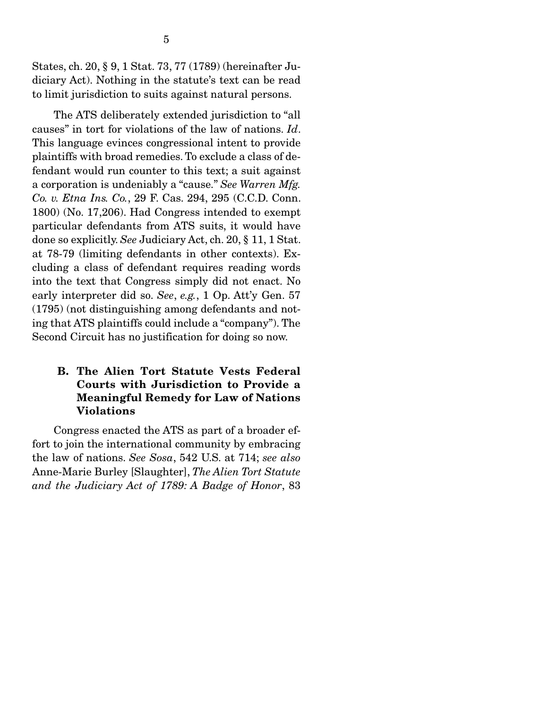States, ch. 20, § 9, 1 Stat. 73, 77 (1789) (hereinafter Judiciary Act). Nothing in the statute's text can be read to limit jurisdiction to suits against natural persons.

 The ATS deliberately extended jurisdiction to "all causes" in tort for violations of the law of nations. *Id*. This language evinces congressional intent to provide plaintiffs with broad remedies. To exclude a class of defendant would run counter to this text; a suit against a corporation is undeniably a "cause." *See Warren Mfg. Co. v. Etna Ins. Co.*, 29 F. Cas. 294, 295 (C.C.D. Conn. 1800) (No. 17,206). Had Congress intended to exempt particular defendants from ATS suits, it would have done so explicitly. *See* Judiciary Act, ch. 20, § 11, 1 Stat. at 78-79 (limiting defendants in other contexts). Excluding a class of defendant requires reading words into the text that Congress simply did not enact. No early interpreter did so. *See*, *e.g.*, 1 Op. Att'y Gen. 57 (1795) (not distinguishing among defendants and noting that ATS plaintiffs could include a "company"). The Second Circuit has no justification for doing so now.

### B. The Alien Tort Statute Vests Federal Courts with Jurisdiction to Provide a Meaningful Remedy for Law of Nations Violations

 Congress enacted the ATS as part of a broader effort to join the international community by embracing the law of nations. *See Sosa*, 542 U.S. at 714; *see also*  Anne-Marie Burley [Slaughter], *The Alien Tort Statute and the Judiciary Act of 1789: A Badge of Honor*, 83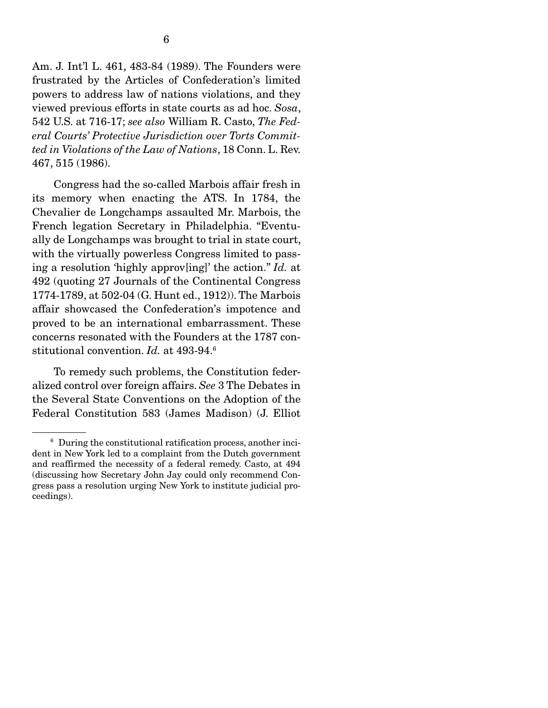Am. J. Int'l L. 461, 483-84 (1989). The Founders were frustrated by the Articles of Confederation's limited powers to address law of nations violations, and they viewed previous efforts in state courts as ad hoc. *Sosa*, 542 U.S. at 716-17; *see also* William R. Casto, *The Federal Courts' Protective Jurisdiction over Torts Committed in Violations of the Law of Nations*, 18 Conn. L. Rev. 467, 515 (1986).

 Congress had the so-called Marbois affair fresh in its memory when enacting the ATS. In 1784, the Chevalier de Longchamps assaulted Mr. Marbois, the French legation Secretary in Philadelphia. "Eventually de Longchamps was brought to trial in state court, with the virtually powerless Congress limited to passing a resolution 'highly approv[ing]' the action." *Id.* at 492 (quoting 27 Journals of the Continental Congress 1774-1789, at 502-04 (G. Hunt ed., 1912)). The Marbois affair showcased the Confederation's impotence and proved to be an international embarrassment. These concerns resonated with the Founders at the 1787 constitutional convention. *Id.* at 493-94.<sup>6</sup>

 To remedy such problems, the Constitution federalized control over foreign affairs. *See* 3 The Debates in the Several State Conventions on the Adoption of the Federal Constitution 583 (James Madison) (J. Elliot

<sup>6</sup> During the constitutional ratification process, another incident in New York led to a complaint from the Dutch government and reaffirmed the necessity of a federal remedy. Casto, at 494 (discussing how Secretary John Jay could only recommend Congress pass a resolution urging New York to institute judicial proceedings).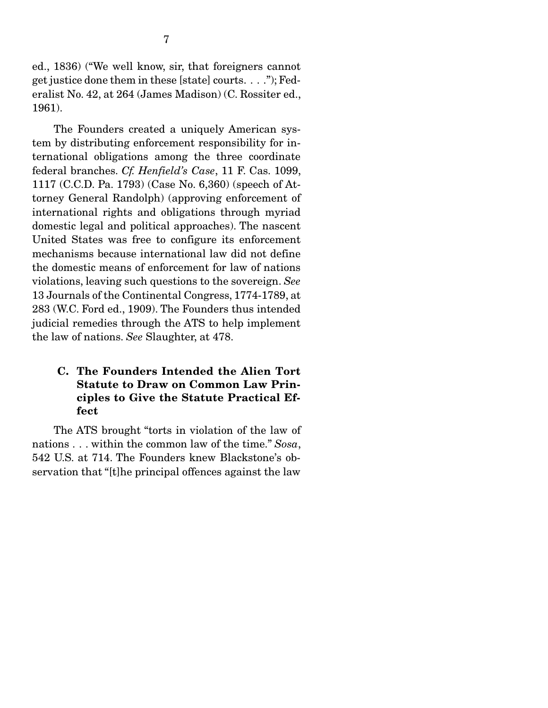ed., 1836) ("We well know, sir, that foreigners cannot get justice done them in these [state] courts. . . ."); Federalist No. 42, at 264 (James Madison) (C. Rossiter ed., 1961).

 The Founders created a uniquely American system by distributing enforcement responsibility for international obligations among the three coordinate federal branches. *Cf. Henfield's Case*, 11 F. Cas. 1099, 1117 (C.C.D. Pa. 1793) (Case No. 6,360) (speech of Attorney General Randolph) (approving enforcement of international rights and obligations through myriad domestic legal and political approaches). The nascent United States was free to configure its enforcement mechanisms because international law did not define the domestic means of enforcement for law of nations violations, leaving such questions to the sovereign. *See*  13 Journals of the Continental Congress, 1774-1789, at 283 (W.C. Ford ed., 1909). The Founders thus intended judicial remedies through the ATS to help implement the law of nations. *See* Slaughter, at 478.

### C. The Founders Intended the Alien Tort Statute to Draw on Common Law Principles to Give the Statute Practical Effect

 The ATS brought "torts in violation of the law of nations . . . within the common law of the time." *Sosa*, 542 U.S. at 714. The Founders knew Blackstone's observation that "[t]he principal offences against the law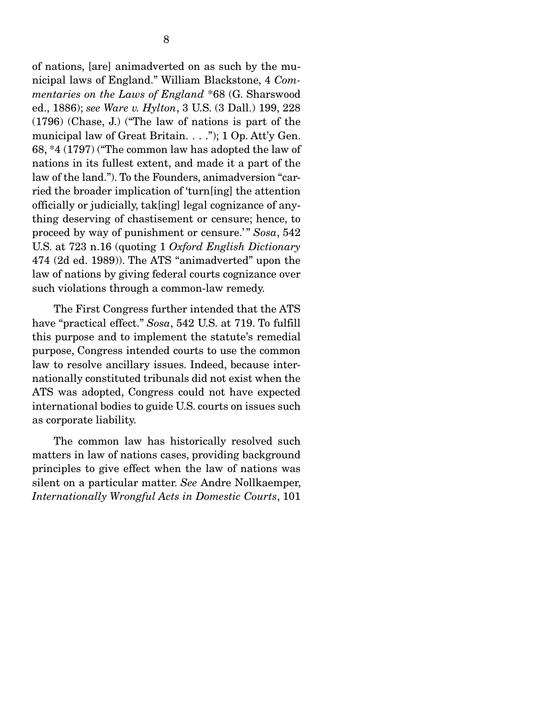of nations, [are] animadverted on as such by the municipal laws of England." William Blackstone, 4 *Commentaries on the Laws of England* \*68 (G. Sharswood ed., 1886); *see Ware v. Hylton*, 3 U.S. (3 Dall.) 199, 228 (1796) (Chase, J.) ("The law of nations is part of the municipal law of Great Britain. . . ."); 1 Op. Att'y Gen. 68, \*4 (1797) ("The common law has adopted the law of nations in its fullest extent, and made it a part of the law of the land."). To the Founders, animadversion "carried the broader implication of 'turn[ing] the attention officially or judicially, tak[ing] legal cognizance of anything deserving of chastisement or censure; hence, to proceed by way of punishment or censure.'" Sosa, 542 U.S. at 723 n.16 (quoting 1 *Oxford English Dictionary*  474 (2d ed. 1989)). The ATS "animadverted" upon the law of nations by giving federal courts cognizance over such violations through a common-law remedy.

 The First Congress further intended that the ATS have "practical effect." *Sosa*, 542 U.S. at 719. To fulfill this purpose and to implement the statute's remedial purpose, Congress intended courts to use the common law to resolve ancillary issues. Indeed, because internationally constituted tribunals did not exist when the ATS was adopted, Congress could not have expected international bodies to guide U.S. courts on issues such as corporate liability.

 The common law has historically resolved such matters in law of nations cases, providing background principles to give effect when the law of nations was silent on a particular matter. *See* Andre Nollkaemper, *Internationally Wrongful Acts in Domestic Courts*, 101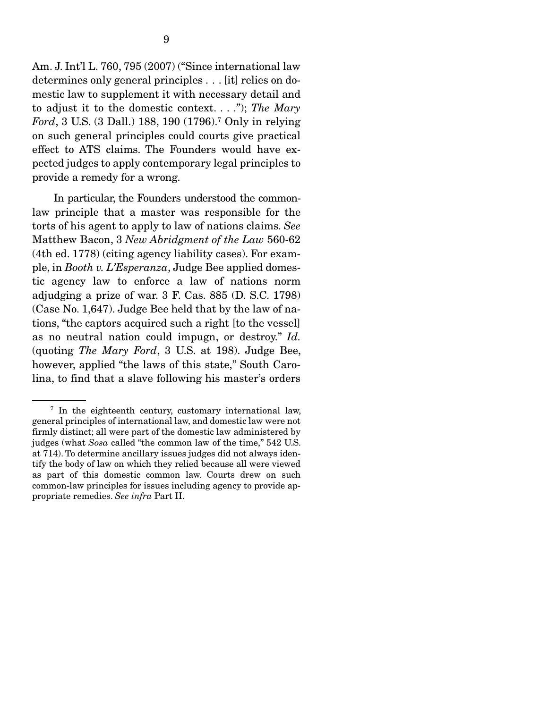Am. J. Int'l L. 760, 795 (2007) ("Since international law determines only general principles . . . [it] relies on domestic law to supplement it with necessary detail and to adjust it to the domestic context. . . ."); *The Mary Ford*, 3 U.S. (3 Dall.) 188, 190 (1796).7 Only in relying on such general principles could courts give practical effect to ATS claims. The Founders would have expected judges to apply contemporary legal principles to provide a remedy for a wrong.

 In particular, the Founders understood the commonlaw principle that a master was responsible for the torts of his agent to apply to law of nations claims. *See*  Matthew Bacon, 3 *New Abridgment of the Law* 560-62 (4th ed. 1778) (citing agency liability cases). For example, in *Booth v. L'Esperanza*, Judge Bee applied domestic agency law to enforce a law of nations norm adjudging a prize of war. 3 F. Cas. 885 (D. S.C. 1798) (Case No. 1,647). Judge Bee held that by the law of nations, "the captors acquired such a right [to the vessel] as no neutral nation could impugn, or destroy." *Id.*  (quoting *The Mary Ford*, 3 U.S. at 198). Judge Bee, however, applied "the laws of this state," South Carolina, to find that a slave following his master's orders

<sup>&</sup>lt;sup>7</sup> In the eighteenth century, customary international law, general principles of international law, and domestic law were not firmly distinct; all were part of the domestic law administered by judges (what *Sosa* called "the common law of the time," 542 U.S. at 714). To determine ancillary issues judges did not always identify the body of law on which they relied because all were viewed as part of this domestic common law. Courts drew on such common-law principles for issues including agency to provide appropriate remedies. *See infra* Part II.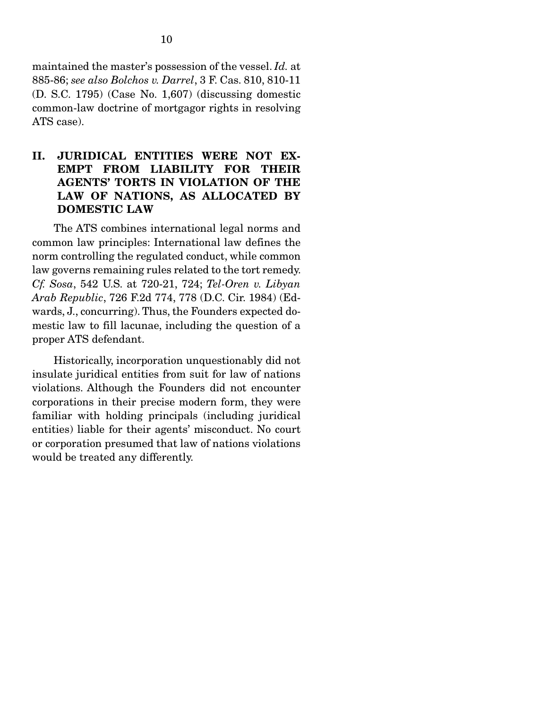maintained the master's possession of the vessel. *Id.* at 885-86; *see also Bolchos v. Darrel*, 3 F. Cas. 810, 810-11 (D. S.C. 1795) (Case No. 1,607) (discussing domestic common-law doctrine of mortgagor rights in resolving ATS case).

### II. JURIDICAL ENTITIES WERE NOT EX-EMPT FROM LIABILITY FOR THEIR AGENTS' TORTS IN VIOLATION OF THE LAW OF NATIONS, AS ALLOCATED BY DOMESTIC LAW

 The ATS combines international legal norms and common law principles: International law defines the norm controlling the regulated conduct, while common law governs remaining rules related to the tort remedy. *Cf. Sosa*, 542 U.S. at 720-21, 724; *Tel-Oren v. Libyan Arab Republic*, 726 F.2d 774, 778 (D.C. Cir. 1984) (Edwards, J., concurring). Thus, the Founders expected domestic law to fill lacunae, including the question of a proper ATS defendant.

 Historically, incorporation unquestionably did not insulate juridical entities from suit for law of nations violations. Although the Founders did not encounter corporations in their precise modern form, they were familiar with holding principals (including juridical entities) liable for their agents' misconduct. No court or corporation presumed that law of nations violations would be treated any differently.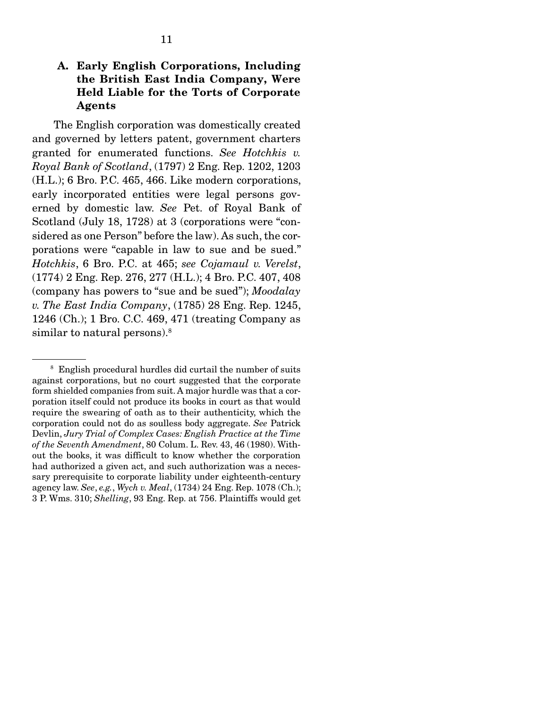### A. Early English Corporations, Including the British East India Company, Were Held Liable for the Torts of Corporate Agents

 The English corporation was domestically created and governed by letters patent, government charters granted for enumerated functions. *See Hotchkis v. Royal Bank of Scotland*, (1797) 2 Eng. Rep. 1202, 1203 (H.L.); 6 Bro. P.C. 465, 466. Like modern corporations, early incorporated entities were legal persons governed by domestic law. *See* Pet. of Royal Bank of Scotland (July 18, 1728) at 3 (corporations were "considered as one Person" before the law). As such, the corporations were "capable in law to sue and be sued." *Hotchkis*, 6 Bro. P.C. at 465; *see Cojamaul v. Verelst*, (1774) 2 Eng. Rep. 276, 277 (H.L.); 4 Bro. P.C. 407, 408 (company has powers to "sue and be sued"); *Moodalay v. The East India Company*, (1785) 28 Eng. Rep. 1245, 1246 (Ch.); 1 Bro. C.C. 469, 471 (treating Company as similar to natural persons).<sup>8</sup>

<sup>&</sup>lt;sup>8</sup> English procedural hurdles did curtail the number of suits against corporations, but no court suggested that the corporate form shielded companies from suit. A major hurdle was that a corporation itself could not produce its books in court as that would require the swearing of oath as to their authenticity, which the corporation could not do as soulless body aggregate. *See* Patrick Devlin, *Jury Trial of Complex Cases: English Practice at the Time of the Seventh Amendment*, 80 Colum. L. Rev. 43, 46 (1980). Without the books, it was difficult to know whether the corporation had authorized a given act, and such authorization was a necessary prerequisite to corporate liability under eighteenth-century agency law. *See*, *e.g.*, *Wych v. Meal*, (1734) 24 Eng. Rep. 1078 (Ch.); 3 P. Wms. 310; *Shelling*, 93 Eng. Rep. at 756. Plaintiffs would get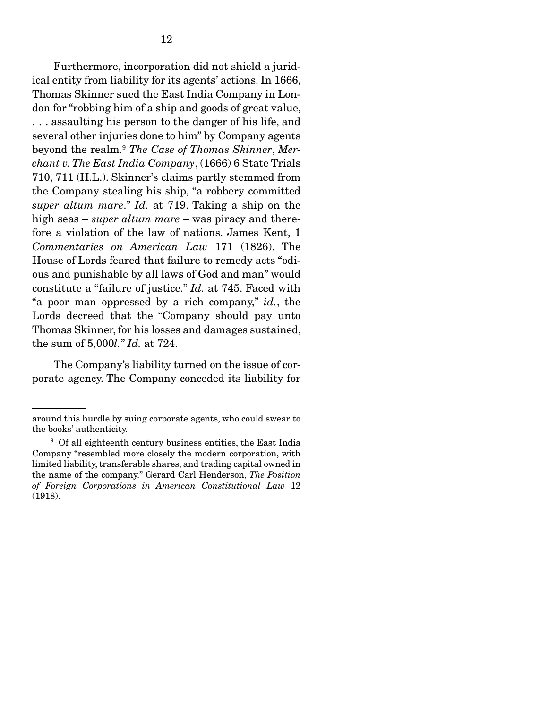Furthermore, incorporation did not shield a juridical entity from liability for its agents' actions. In 1666, Thomas Skinner sued the East India Company in London for "robbing him of a ship and goods of great value, . . . assaulting his person to the danger of his life, and several other injuries done to him" by Company agents beyond the realm.9 *The Case of Thomas Skinner*, *Merchant v. The East India Company*, (1666) 6 State Trials 710, 711 (H.L.). Skinner's claims partly stemmed from the Company stealing his ship, "a robbery committed *super altum mare*." *Id.* at 719. Taking a ship on the high seas – *super altum mare* – was piracy and therefore a violation of the law of nations. James Kent, 1 *Commentaries on American Law* 171 (1826). The House of Lords feared that failure to remedy acts "odious and punishable by all laws of God and man" would constitute a "failure of justice." *Id.* at 745. Faced with "a poor man oppressed by a rich company," *id.*, the Lords decreed that the "Company should pay unto Thomas Skinner, for his losses and damages sustained, the sum of 5,000*l.*" *Id.* at 724.

 The Company's liability turned on the issue of corporate agency. The Company conceded its liability for

around this hurdle by suing corporate agents, who could swear to the books' authenticity.

<sup>&</sup>lt;sup>9</sup> Of all eighteenth century business entities, the East India Company "resembled more closely the modern corporation, with limited liability, transferable shares, and trading capital owned in the name of the company." Gerard Carl Henderson, *The Position of Foreign Corporations in American Constitutional Law* 12 (1918).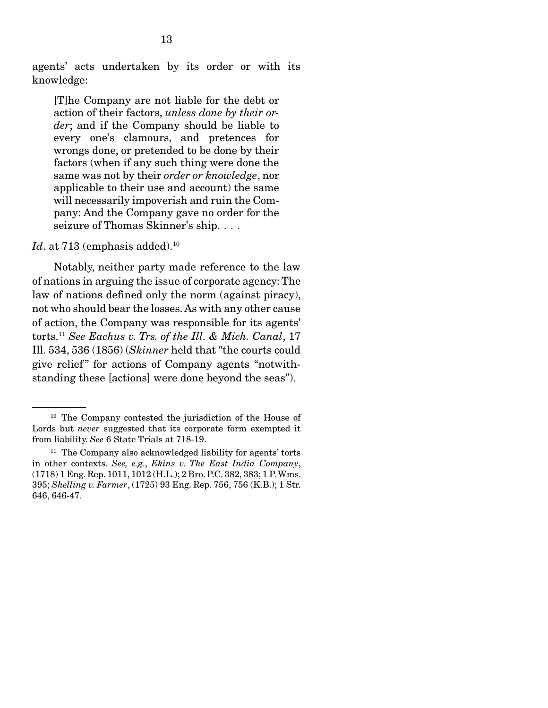agents' acts undertaken by its order or with its knowledge:

[T]he Company are not liable for the debt or action of their factors, *unless done by their order*; and if the Company should be liable to every one's clamours, and pretences for wrongs done, or pretended to be done by their factors (when if any such thing were done the same was not by their *order or knowledge*, nor applicable to their use and account) the same will necessarily impoverish and ruin the Company: And the Company gave no order for the seizure of Thomas Skinner's ship. . . .

 $Id.$  at  $713$  (emphasis added).<sup>10</sup>

 Notably, neither party made reference to the law of nations in arguing the issue of corporate agency: The law of nations defined only the norm (against piracy), not who should bear the losses. As with any other cause of action, the Company was responsible for its agents' torts.11 *See Eachus v. Trs. of the Ill. & Mich. Canal*, 17 Ill. 534, 536 (1856) (*Skinner* held that *"*the courts could give relief" for actions of Company agents "notwithstanding these [actions] were done beyond the seas").

<sup>10</sup> The Company contested the jurisdiction of the House of Lords but *never* suggested that its corporate form exempted it from liability. *See* 6 State Trials at 718-19.

<sup>&</sup>lt;sup>11</sup> The Company also acknowledged liability for agents' torts in other contexts. *See, e.g.*, *Ekins v. The East India Company*, (1718) 1 Eng. Rep. 1011, 1012 (H.L.); 2 Bro. P.C. 382, 383; 1 P. Wms. 395; *Shelling v. Farmer*, (1725) 93 Eng. Rep. 756, 756 (K.B.); 1 Str. 646, 646-47.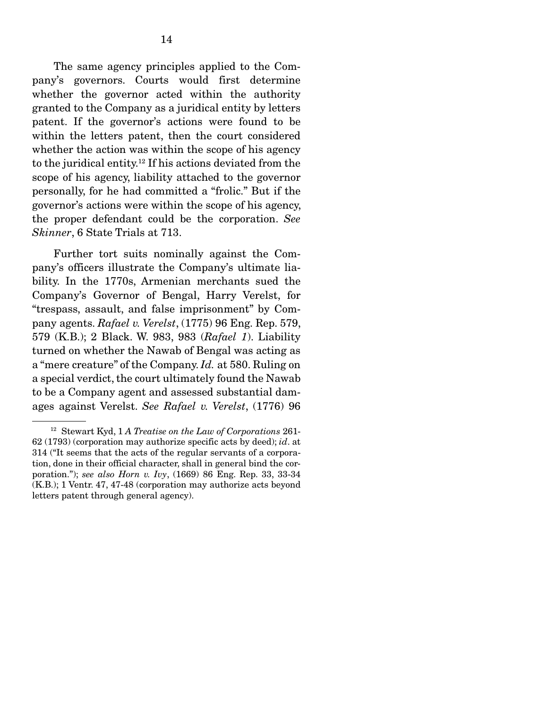The same agency principles applied to the Company's governors. Courts would first determine whether the governor acted within the authority granted to the Company as a juridical entity by letters patent. If the governor's actions were found to be within the letters patent, then the court considered whether the action was within the scope of his agency to the juridical entity.12 If his actions deviated from the scope of his agency, liability attached to the governor personally, for he had committed a "frolic." But if the governor's actions were within the scope of his agency, the proper defendant could be the corporation. *See Skinner*, 6 State Trials at 713.

 Further tort suits nominally against the Company's officers illustrate the Company's ultimate liability. In the 1770s, Armenian merchants sued the Company's Governor of Bengal, Harry Verelst, for "trespass, assault, and false imprisonment" by Company agents. *Rafael v. Verelst*, (1775) 96 Eng. Rep. 579, 579 (K.B.); 2 Black. W. 983, 983 (*Rafael 1*). Liability turned on whether the Nawab of Bengal was acting as a "mere creature" of the Company. *Id.* at 580. Ruling on a special verdict, the court ultimately found the Nawab to be a Company agent and assessed substantial damages against Verelst. *See Rafael v. Verelst*, (1776) 96

<sup>12</sup> Stewart Kyd, 1 *A Treatise on the Law of Corporations* 261- 62 (1793) (corporation may authorize specific acts by deed); *id*. at 314 ("It seems that the acts of the regular servants of a corporation, done in their official character, shall in general bind the corporation."); *see also Horn v. Ivy*, (1669) 86 Eng. Rep. 33, 33-34 (K.B.); 1 Ventr. 47, 47-48 (corporation may authorize acts beyond letters patent through general agency).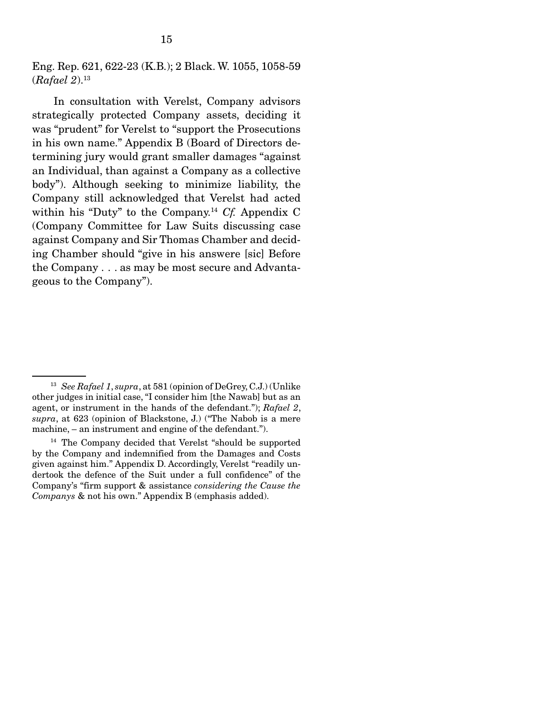Eng. Rep. 621, 622-23 (K.B.); 2 Black. W. 1055, 1058-59 (*Rafael 2*).13

 In consultation with Verelst, Company advisors strategically protected Company assets, deciding it was "prudent" for Verelst to "support the Prosecutions in his own name." Appendix B (Board of Directors determining jury would grant smaller damages "against an Individual, than against a Company as a collective body"). Although seeking to minimize liability, the Company still acknowledged that Verelst had acted within his "Duty" to the Company.14 *Cf.* Appendix C (Company Committee for Law Suits discussing case against Company and Sir Thomas Chamber and deciding Chamber should "give in his answere [sic] Before the Company . . . as may be most secure and Advantageous to the Company").

<sup>13</sup> *See Rafael 1*, *supra*, at 581 (opinion of DeGrey, C.J.) (Unlike other judges in initial case, "I consider him [the Nawab] but as an agent, or instrument in the hands of the defendant."); *Rafael 2*, *supra*, at 623 (opinion of Blackstone, J.) ("The Nabob is a mere machine, – an instrument and engine of the defendant.").

<sup>14</sup> The Company decided that Verelst "should be supported by the Company and indemnified from the Damages and Costs given against him." Appendix D. Accordingly, Verelst "readily undertook the defence of the Suit under a full confidence" of the Company's "firm support & assistance *considering the Cause the Companys* & not his own." Appendix B (emphasis added).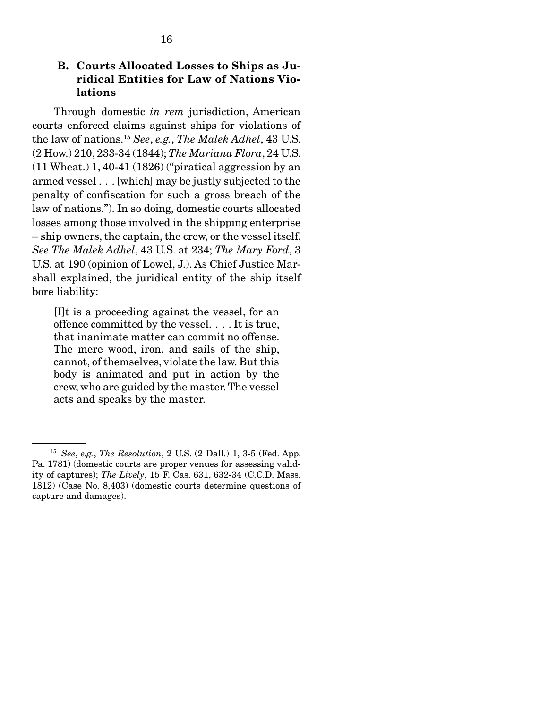#### B. Courts Allocated Losses to Ships as Juridical Entities for Law of Nations Violations

 Through domestic *in rem* jurisdiction, American courts enforced claims against ships for violations of the law of nations.15 *See*, *e.g.*, *The Malek Adhel*, 43 U.S. (2 How.) 210, 233-34 (1844); *The Mariana Flora*, 24 U.S. (11 Wheat.) 1, 40-41 (1826) ("piratical aggression by an armed vessel . . . [which] may be justly subjected to the penalty of confiscation for such a gross breach of the law of nations."). In so doing, domestic courts allocated losses among those involved in the shipping enterprise – ship owners, the captain, the crew, or the vessel itself. *See The Malek Adhel*, 43 U.S. at 234; *The Mary Ford*, 3 U.S. at 190 (opinion of Lowel, J.). As Chief Justice Marshall explained, the juridical entity of the ship itself bore liability:

[I]t is a proceeding against the vessel, for an offence committed by the vessel. . . . It is true, that inanimate matter can commit no offense. The mere wood, iron, and sails of the ship, cannot, of themselves, violate the law. But this body is animated and put in action by the crew, who are guided by the master. The vessel acts and speaks by the master.

<sup>15</sup> *See*, *e.g.*, *The Resolution*, 2 U.S. (2 Dall.) 1, 3-5 (Fed. App. Pa. 1781) (domestic courts are proper venues for assessing validity of captures); *The Lively*, 15 F. Cas. 631, 632-34 (C.C.D. Mass. 1812) (Case No. 8,403) (domestic courts determine questions of capture and damages).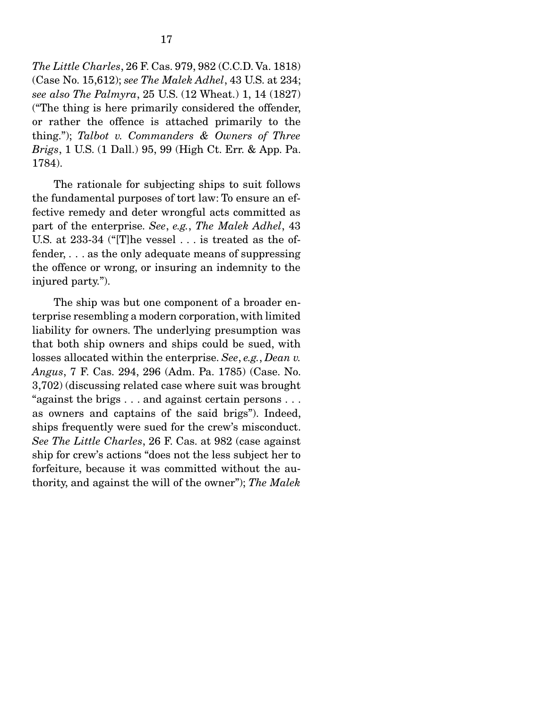*The Little Charles*, 26 F. Cas. 979, 982 (C.C.D. Va. 1818) (Case No. 15,612); *see The Malek Adhel*, 43 U.S. at 234; *see also The Palmyra*, 25 U.S. (12 Wheat.) 1, 14 (1827) ("The thing is here primarily considered the offender, or rather the offence is attached primarily to the thing."); *Talbot v. Commanders & Owners of Three Brigs*, 1 U.S. (1 Dall.) 95, 99 (High Ct. Err. & App. Pa. 1784).

 The rationale for subjecting ships to suit follows the fundamental purposes of tort law: To ensure an effective remedy and deter wrongful acts committed as part of the enterprise. *See*, *e.g.*, *The Malek Adhel*, 43 U.S. at 233-34 ("[T]he vessel . . . is treated as the offender, . . . as the only adequate means of suppressing the offence or wrong, or insuring an indemnity to the injured party.").

 The ship was but one component of a broader enterprise resembling a modern corporation, with limited liability for owners. The underlying presumption was that both ship owners and ships could be sued, with losses allocated within the enterprise. *See*, *e.g.*, *Dean v. Angus*, 7 F. Cas. 294, 296 (Adm. Pa. 1785) (Case. No. 3,702) (discussing related case where suit was brought "against the brigs . . . and against certain persons . . . as owners and captains of the said brigs"). Indeed, ships frequently were sued for the crew's misconduct. *See The Little Charles*, 26 F. Cas. at 982 (case against ship for crew's actions "does not the less subject her to forfeiture, because it was committed without the authority, and against the will of the owner"); *The Malek*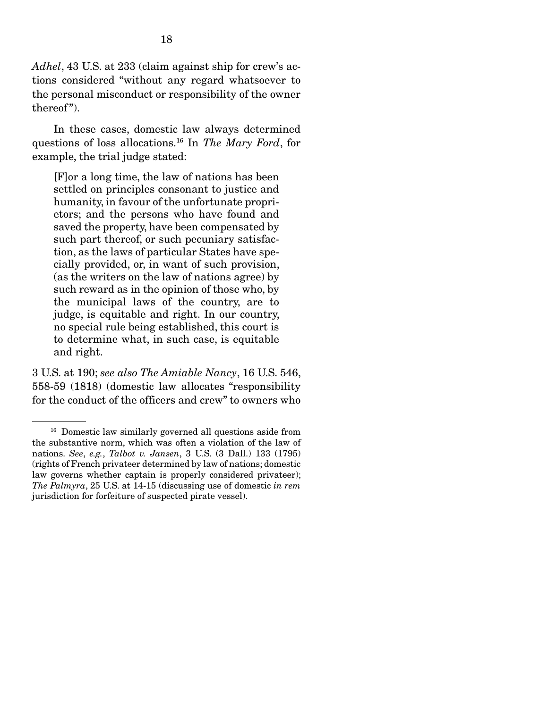*Adhel*, 43 U.S. at 233 (claim against ship for crew's actions considered "without any regard whatsoever to the personal misconduct or responsibility of the owner thereof").

 In these cases, domestic law always determined questions of loss allocations.16 In *The Mary Ford*, for example, the trial judge stated:

[F]or a long time, the law of nations has been settled on principles consonant to justice and humanity, in favour of the unfortunate proprietors; and the persons who have found and saved the property, have been compensated by such part thereof, or such pecuniary satisfaction, as the laws of particular States have specially provided, or, in want of such provision, (as the writers on the law of nations agree) by such reward as in the opinion of those who, by the municipal laws of the country, are to judge, is equitable and right. In our country, no special rule being established, this court is to determine what, in such case, is equitable and right.

3 U.S. at 190; *see also The Amiable Nancy*, 16 U.S. 546, 558-59 (1818) (domestic law allocates "responsibility for the conduct of the officers and crew" to owners who

<sup>&</sup>lt;sup>16</sup> Domestic law similarly governed all questions aside from the substantive norm, which was often a violation of the law of nations. *See*, *e.g.*, *Talbot v. Jansen*, 3 U.S. (3 Dall.) 133 (1795) (rights of French privateer determined by law of nations; domestic law governs whether captain is properly considered privateer); *The Palmyra*, 25 U.S. at 14-15 (discussing use of domestic *in rem*  jurisdiction for forfeiture of suspected pirate vessel).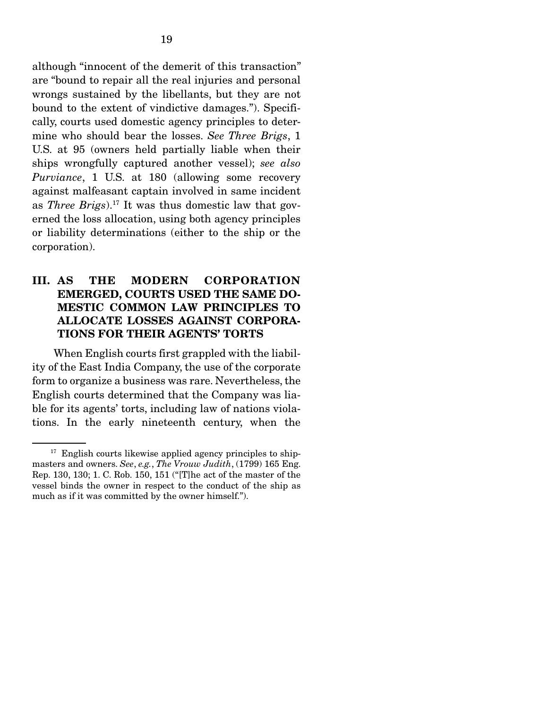although "innocent of the demerit of this transaction" are "bound to repair all the real injuries and personal wrongs sustained by the libellants, but they are not bound to the extent of vindictive damages."). Specifically, courts used domestic agency principles to determine who should bear the losses. *See Three Brigs*, 1 U.S. at 95 (owners held partially liable when their ships wrongfully captured another vessel); *see also Purviance*, 1 U.S. at 180 (allowing some recovery against malfeasant captain involved in same incident as *Three Brigs*).17 It was thus domestic law that governed the loss allocation, using both agency principles or liability determinations (either to the ship or the corporation).

## III. AS THE MODERN CORPORATION EMERGED, COURTS USED THE SAME DO-MESTIC COMMON LAW PRINCIPLES TO ALLOCATE LOSSES AGAINST CORPORA-TIONS FOR THEIR AGENTS' TORTS

 When English courts first grappled with the liability of the East India Company, the use of the corporate form to organize a business was rare. Nevertheless, the English courts determined that the Company was liable for its agents' torts, including law of nations violations. In the early nineteenth century, when the

 $17$  English courts likewise applied agency principles to shipmasters and owners. *See*, *e.g.*, *The Vrouw Judith*, (1799) 165 Eng. Rep. 130, 130; 1. C. Rob. 150, 151 ("[T]he act of the master of the vessel binds the owner in respect to the conduct of the ship as much as if it was committed by the owner himself.").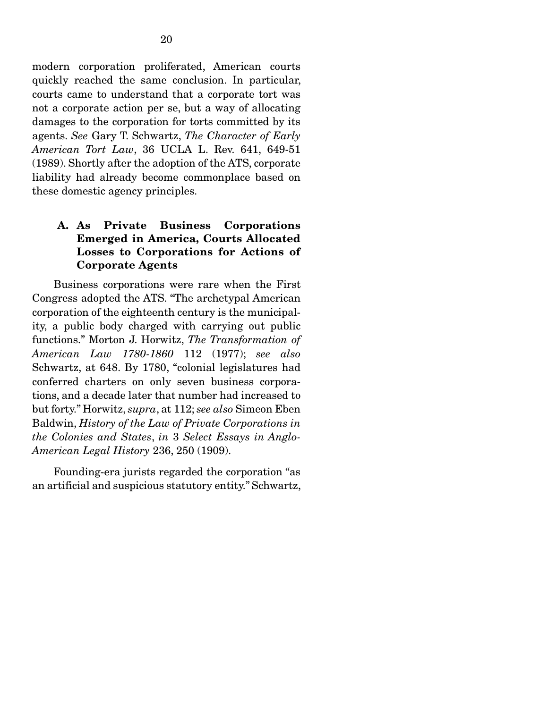modern corporation proliferated, American courts quickly reached the same conclusion. In particular, courts came to understand that a corporate tort was not a corporate action per se, but a way of allocating damages to the corporation for torts committed by its agents. *See* Gary T. Schwartz, *The Character of Early American Tort Law*, 36 UCLA L. Rev. 641, 649-51 (1989). Shortly after the adoption of the ATS, corporate liability had already become commonplace based on these domestic agency principles.

### A. As Private Business Corporations Emerged in America, Courts Allocated Losses to Corporations for Actions of Corporate Agents

 Business corporations were rare when the First Congress adopted the ATS. "The archetypal American corporation of the eighteenth century is the municipality, a public body charged with carrying out public functions." Morton J. Horwitz, *The Transformation of American Law 1780-1860* 112 (1977); *see also*  Schwartz, at 648. By 1780, "colonial legislatures had conferred charters on only seven business corporations, and a decade later that number had increased to but forty." Horwitz, *supra*, at 112; *see also* Simeon Eben Baldwin, *History of the Law of Private Corporations in the Colonies and States*, *in* 3 *Select Essays in Anglo-American Legal History* 236, 250 (1909).

 Founding-era jurists regarded the corporation "as an artificial and suspicious statutory entity." Schwartz,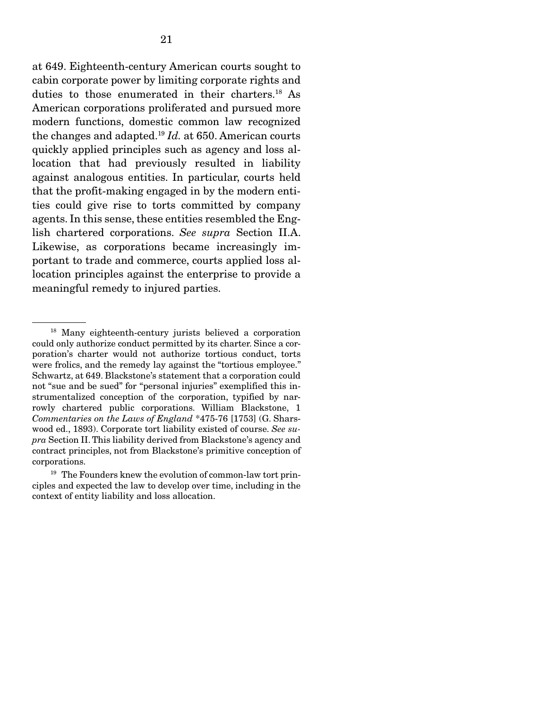at 649. Eighteenth-century American courts sought to cabin corporate power by limiting corporate rights and duties to those enumerated in their charters.18 As American corporations proliferated and pursued more modern functions, domestic common law recognized the changes and adapted.19 *Id.* at 650. American courts quickly applied principles such as agency and loss allocation that had previously resulted in liability against analogous entities. In particular, courts held that the profit-making engaged in by the modern entities could give rise to torts committed by company agents. In this sense, these entities resembled the English chartered corporations. *See supra* Section II.A. Likewise, as corporations became increasingly important to trade and commerce, courts applied loss allocation principles against the enterprise to provide a meaningful remedy to injured parties.

<sup>18</sup> Many eighteenth-century jurists believed a corporation could only authorize conduct permitted by its charter. Since a corporation's charter would not authorize tortious conduct, torts were frolics, and the remedy lay against the "tortious employee." Schwartz, at 649. Blackstone's statement that a corporation could not "sue and be sued" for "personal injuries" exemplified this instrumentalized conception of the corporation, typified by narrowly chartered public corporations. William Blackstone, 1 *Commentaries on the Laws of England* \*475-76 [1753] (G. Sharswood ed., 1893). Corporate tort liability existed of course. *See supra* Section II. This liability derived from Blackstone's agency and contract principles, not from Blackstone's primitive conception of corporations.

 $19$  The Founders knew the evolution of common-law tort principles and expected the law to develop over time, including in the context of entity liability and loss allocation.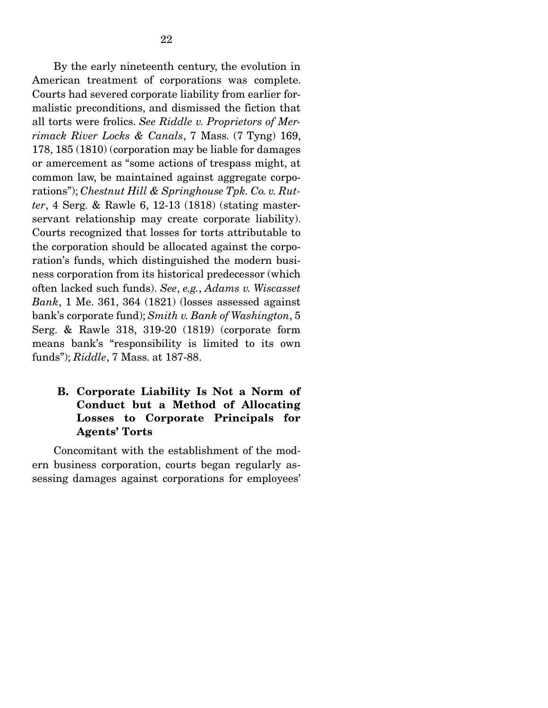By the early nineteenth century, the evolution in American treatment of corporations was complete. Courts had severed corporate liability from earlier formalistic preconditions, and dismissed the fiction that all torts were frolics. *See Riddle v. Proprietors of Merrimack River Locks & Canals*, 7 Mass. (7 Tyng) 169, 178, 185 (1810) (corporation may be liable for damages or amercement as "some actions of trespass might, at common law, be maintained against aggregate corporations"); *Chestnut Hill & Springhouse Tpk. Co. v. Rutter*, 4 Serg. & Rawle 6, 12-13 (1818) (stating masterservant relationship may create corporate liability). Courts recognized that losses for torts attributable to the corporation should be allocated against the corporation's funds, which distinguished the modern business corporation from its historical predecessor (which often lacked such funds). *See*, *e.g.*, *Adams v. Wiscasset Bank*, 1 Me. 361, 364 (1821) (losses assessed against bank's corporate fund); *Smith v. Bank of Washington*, 5 Serg. & Rawle 318, 319-20 (1819) (corporate form means bank's "responsibility is limited to its own funds"); *Riddle*, 7 Mass. at 187-88.

#### B. Corporate Liability Is Not a Norm of Conduct but a Method of Allocating Losses to Corporate Principals for Agents' Torts

 Concomitant with the establishment of the modern business corporation, courts began regularly assessing damages against corporations for employees'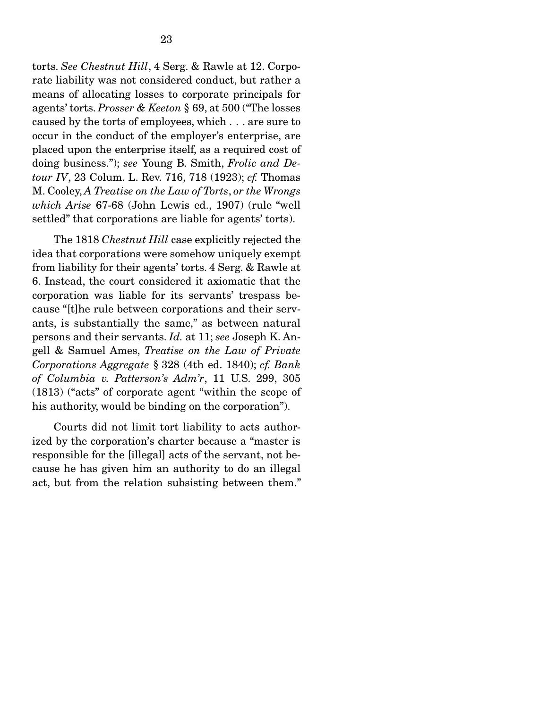torts. *See Chestnut Hill*, 4 Serg. & Rawle at 12. Corporate liability was not considered conduct, but rather a means of allocating losses to corporate principals for agents' torts. *Prosser & Keeton* § 69, at 500 ("The losses caused by the torts of employees, which . . . are sure to occur in the conduct of the employer's enterprise, are placed upon the enterprise itself, as a required cost of doing business."); *see* Young B. Smith, *Frolic and Detour IV*, 23 Colum. L. Rev. 716, 718 (1923); *cf.* Thomas M. Cooley, *A Treatise on the Law of Torts*, *or the Wrongs which Arise* 67-68 (John Lewis ed., 1907) (rule "well settled" that corporations are liable for agents' torts).

 The 1818 *Chestnut Hill* case explicitly rejected the idea that corporations were somehow uniquely exempt from liability for their agents' torts. 4 Serg. & Rawle at 6. Instead, the court considered it axiomatic that the corporation was liable for its servants' trespass because "[t]he rule between corporations and their servants, is substantially the same," as between natural persons and their servants. *Id.* at 11; *see* Joseph K. Angell & Samuel Ames, *Treatise on the Law of Private Corporations Aggregate* § 328 (4th ed. 1840); *cf. Bank of Columbia v. Patterson's Adm'r*, 11 U.S. 299, 305 (1813) ("acts" of corporate agent "within the scope of his authority, would be binding on the corporation").

 Courts did not limit tort liability to acts authorized by the corporation's charter because a "master is responsible for the [illegal] acts of the servant, not because he has given him an authority to do an illegal act, but from the relation subsisting between them."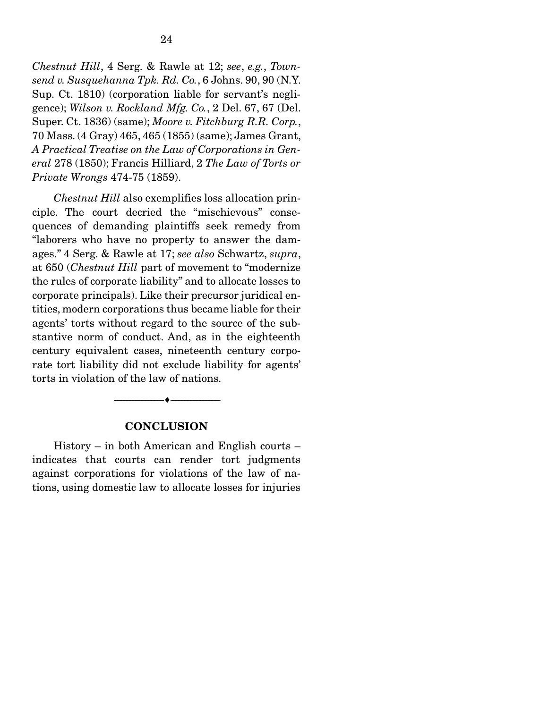*Chestnut Hill*, 4 Serg. & Rawle at 12; *see*, *e.g.*, *Townsend v. Susquehanna Tpk. Rd. Co.*, 6 Johns. 90, 90 (N.Y. Sup. Ct. 1810) (corporation liable for servant's negligence); *Wilson v. Rockland Mfg. Co.*, 2 Del. 67, 67 (Del. Super. Ct. 1836) (same); *Moore v. Fitchburg R.R. Corp.*, 70 Mass. (4 Gray) 465, 465 (1855) (same); James Grant, *A Practical Treatise on the Law of Corporations in General* 278 (1850); Francis Hilliard, 2 *The Law of Torts or Private Wrongs* 474-75 (1859).

*Chestnut Hill* also exemplifies loss allocation principle. The court decried the "mischievous" consequences of demanding plaintiffs seek remedy from "laborers who have no property to answer the damages." 4 Serg. & Rawle at 17; *see also* Schwartz, *supra*, at 650 (*Chestnut Hill* part of movement to "modernize the rules of corporate liability" and to allocate losses to corporate principals). Like their precursor juridical entities, modern corporations thus became liable for their agents' torts without regard to the source of the substantive norm of conduct. And, as in the eighteenth century equivalent cases, nineteenth century corporate tort liability did not exclude liability for agents' torts in violation of the law of nations.

#### **CONCLUSION**

--------------------------------- ---------------------------------

 History – in both American and English courts – indicates that courts can render tort judgments against corporations for violations of the law of nations, using domestic law to allocate losses for injuries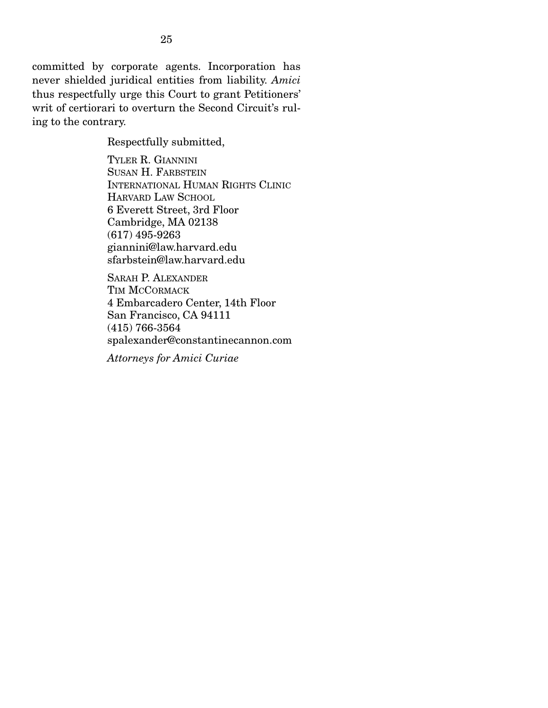committed by corporate agents. Incorporation has never shielded juridical entities from liability. *Amici* thus respectfully urge this Court to grant Petitioners' writ of certiorari to overturn the Second Circuit's ruling to the contrary.

Respectfully submitted,

TYLER R. GIANNINI SUSAN H. FARBSTEIN INTERNATIONAL HUMAN RIGHTS CLINIC HARVARD LAW SCHOOL 6 Everett Street, 3rd Floor Cambridge, MA 02138 (617) 495-9263 giannini@law.harvard.edu sfarbstein@law.harvard.edu

SARAH P. ALEXANDER TIM MCCORMACK 4 Embarcadero Center, 14th Floor San Francisco, CA 94111 (415) 766-3564 spalexander@constantinecannon.com

*Attorneys for Amici Curiae*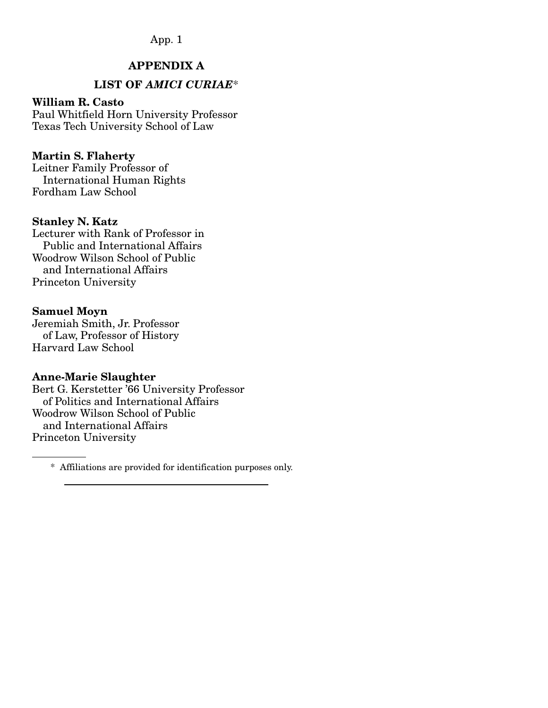### APPENDIX A

## LIST OF *AMICI CURIAE*\*

#### William R. Casto

Paul Whitfield Horn University Professor Texas Tech University School of Law

#### Martin S. Flaherty

Leitner Family Professor of International Human Rights Fordham Law School

#### Stanley N. Katz

Lecturer with Rank of Professor in Public and International Affairs Woodrow Wilson School of Public and International Affairs Princeton University

#### Samuel Moyn

Jeremiah Smith, Jr. Professor of Law, Professor of History Harvard Law School

#### Anne-Marie Slaughter

Bert G. Kerstetter '66 University Professor of Politics and International Affairs Woodrow Wilson School of Public and International Affairs Princeton University

\* Affiliations are provided for identification purposes only.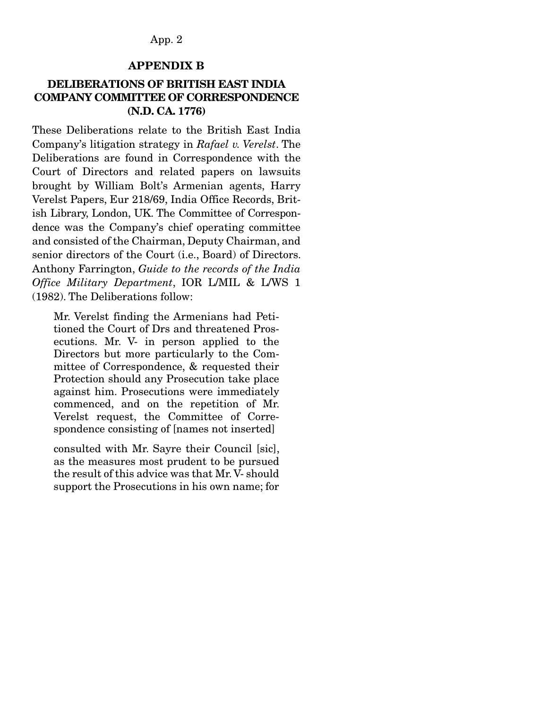#### APPENDIX B

#### DELIBERATIONS OF BRITISH EAST INDIA COMPANY COMMITTEE OF CORRESPONDENCE (N.D. CA. 1776)

These Deliberations relate to the British East India Company's litigation strategy in *Rafael v. Verelst*. The Deliberations are found in Correspondence with the Court of Directors and related papers on lawsuits brought by William Bolt's Armenian agents, Harry Verelst Papers, Eur 218/69, India Office Records, British Library, London, UK. The Committee of Correspondence was the Company's chief operating committee and consisted of the Chairman, Deputy Chairman, and senior directors of the Court (i.e., Board) of Directors. Anthony Farrington, *Guide to the records of the India Office Military Department*, IOR L/MIL & L/WS 1 (1982). The Deliberations follow:

Mr. Verelst finding the Armenians had Petitioned the Court of Drs and threatened Prosecutions. Mr. V- in person applied to the Directors but more particularly to the Committee of Correspondence, & requested their Protection should any Prosecution take place against him. Prosecutions were immediately commenced, and on the repetition of Mr. Verelst request, the Committee of Correspondence consisting of [names not inserted]

consulted with Mr. Sayre their Council [sic], as the measures most prudent to be pursued the result of this advice was that Mr. V- should support the Prosecutions in his own name; for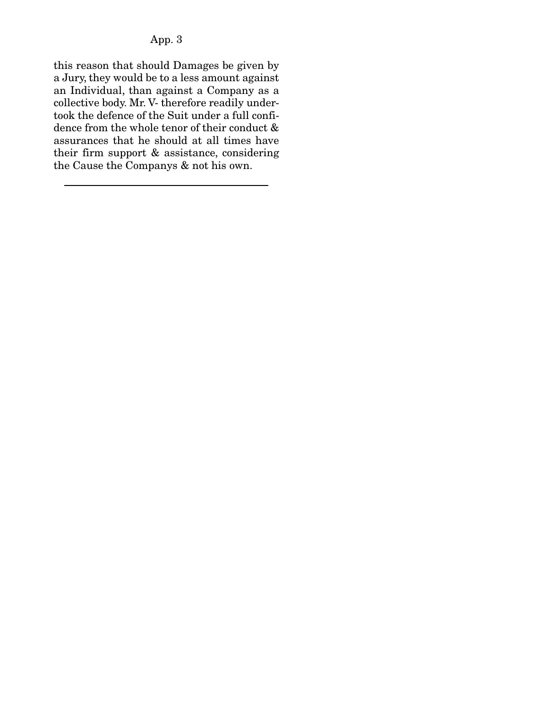this reason that should Damages be given by a Jury, they would be to a less amount against an Individual, than against a Company as a collective body. Mr. V- therefore readily undertook the defence of the Suit under a full confidence from the whole tenor of their conduct & assurances that he should at all times have their firm support & assistance, considering the Cause the Companys & not his own.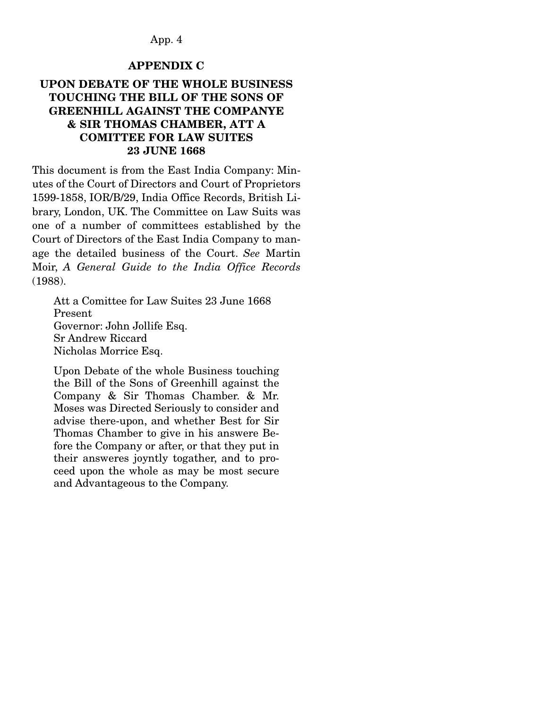#### APPENDIX C

### UPON DEBATE OF THE WHOLE BUSINESS TOUCHING THE BILL OF THE SONS OF GREENHILL AGAINST THE COMPANYE & SIR THOMAS CHAMBER, ATT A COMITTEE FOR LAW SUITES 23 JUNE 1668

This document is from the East India Company: Minutes of the Court of Directors and Court of Proprietors 1599-1858, IOR/B/29, India Office Records, British Library, London, UK. The Committee on Law Suits was one of a number of committees established by the Court of Directors of the East India Company to manage the detailed business of the Court. *See* Martin Moir, *A General Guide to the India Office Records*  (1988).

Att a Comittee for Law Suites 23 June 1668 Present Governor: John Jollife Esq. Sr Andrew Riccard Nicholas Morrice Esq.

Upon Debate of the whole Business touching the Bill of the Sons of Greenhill against the Company & Sir Thomas Chamber. & Mr. Moses was Directed Seriously to consider and advise there-upon, and whether Best for Sir Thomas Chamber to give in his answere Before the Company or after, or that they put in their answeres joyntly togather, and to proceed upon the whole as may be most secure and Advantageous to the Company.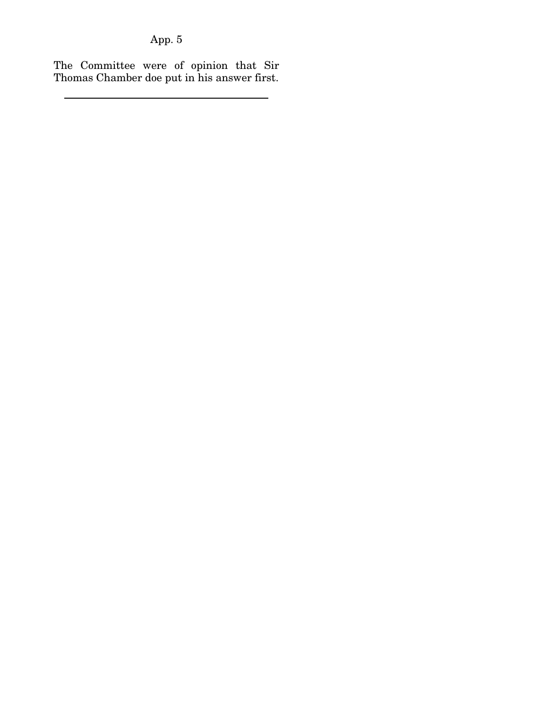The Committee were of opinion that Sir Thomas Chamber doe put in his answer first.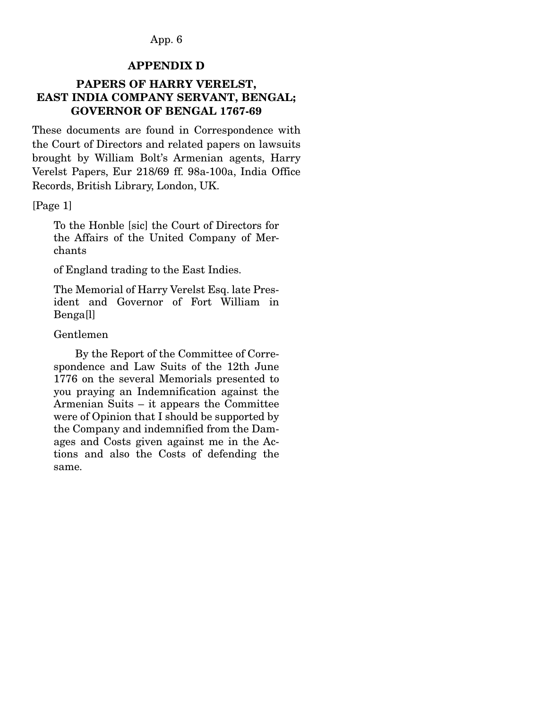#### APPENDIX D

### PAPERS OF HARRY VERELST, EAST INDIA COMPANY SERVANT, BENGAL; GOVERNOR OF BENGAL 1767-69

These documents are found in Correspondence with the Court of Directors and related papers on lawsuits brought by William Bolt's Armenian agents, Harry Verelst Papers, Eur 218/69 ff. 98a-100a, India Office Records, British Library, London, UK.

[Page 1]

To the Honble [sic] the Court of Directors for the Affairs of the United Company of Merchants

of England trading to the East Indies.

The Memorial of Harry Verelst Esq. late President and Governor of Fort William in Benga[l]

#### Gentlemen

 By the Report of the Committee of Correspondence and Law Suits of the 12th June 1776 on the several Memorials presented to you praying an Indemnification against the Armenian Suits – it appears the Committee were of Opinion that I should be supported by the Company and indemnified from the Damages and Costs given against me in the Actions and also the Costs of defending the same.